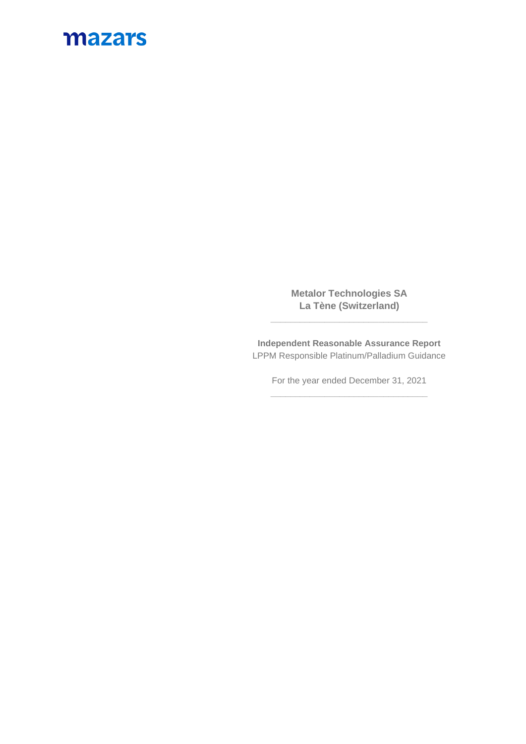## mazars

**Metalor Technologies SA La Tène (Switzerland)**

**\_\_\_\_\_\_\_\_\_\_\_\_\_\_\_\_\_\_\_\_\_\_\_\_\_\_\_\_\_\_\_\_**

**Independent Reasonable Assurance Report** LPPM Responsible Platinum/Palladium Guidance

> For the year ended December 31, 2021 **\_\_\_\_\_\_\_\_\_\_\_\_\_\_\_\_\_\_\_\_\_\_\_\_\_\_\_\_\_\_\_\_**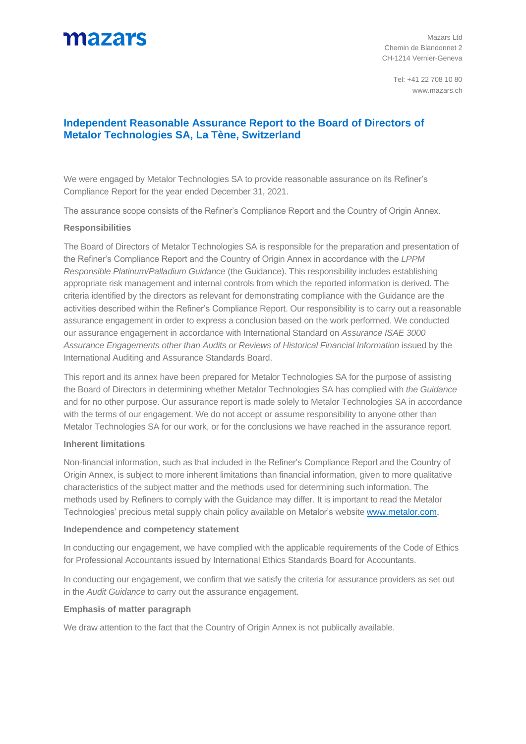## mazars

Mazars Ltd Chemin de Blandonnet 2 CH-1214 Vernier-Geneva

Tel: +41 22 708 10 80 www.mazars.ch

### **Independent Reasonable Assurance Report to the Board of Directors of Metalor Technologies SA, La Tène, Switzerland**

We were engaged by Metalor Technologies SA to provide reasonable assurance on its Refiner's Compliance Report for the year ended December 31, 2021.

The assurance scope consists of the Refiner's Compliance Report and the Country of Origin Annex.

### **Responsibilities**

The Board of Directors of Metalor Technologies SA is responsible for the preparation and presentation of the Refiner's Compliance Report and the Country of Origin Annex in accordance with the *LPPM Responsible Platinum/Palladium Guidance* (the Guidance). This responsibility includes establishing appropriate risk management and internal controls from which the reported information is derived. The criteria identified by the directors as relevant for demonstrating compliance with the Guidance are the activities described within the Refiner's Compliance Report. Our responsibility is to carry out a reasonable assurance engagement in order to express a conclusion based on the work performed. We conducted our assurance engagement in accordance with International Standard on *Assurance ISAE 3000*  Assurance Engagements other than Audits or Reviews of Historical Financial Information issued by the International Auditing and Assurance Standards Board.

This report and its annex have been prepared for Metalor Technologies SA for the purpose of assisting the Board of Directors in determining whether Metalor Technologies SA has complied with *the Guidance* and for no other purpose. Our assurance report is made solely to Metalor Technologies SA in accordance with the terms of our engagement. We do not accept or assume responsibility to anyone other than Metalor Technologies SA for our work, or for the conclusions we have reached in the assurance report.

### **Inherent limitations**

Non-financial information, such as that included in the Refiner's Compliance Report and the Country of Origin Annex, is subject to more inherent limitations than financial information, given to more qualitative characteristics of the subject matter and the methods used for determining such information. The methods used by Refiners to comply with the Guidance may differ. It is important to read the Metalor Technologies' precious metal supply chain policy available on Metalor's website [www.metalor.com.](http://www.metalor.com/)

### **Independence and competency statement**

In conducting our engagement, we have complied with the applicable requirements of the Code of Ethics for Professional Accountants issued by International Ethics Standards Board for Accountants.

In conducting our engagement, we confirm that we satisfy the criteria for assurance providers as set out in the *Audit Guidance* to carry out the assurance engagement.

### **Emphasis of matter paragraph**

We draw attention to the fact that the Country of Origin Annex is not publically available.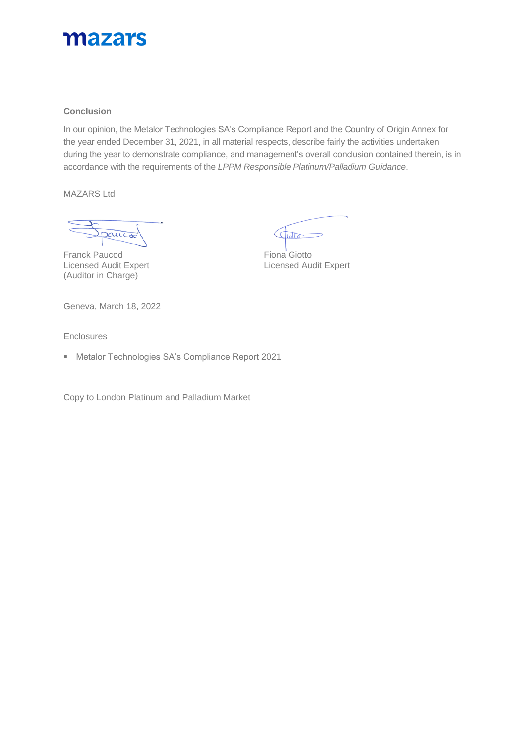

### **Conclusion**

In our opinion, the Metalor Technologies SA's Compliance Report and the Country of Origin Annex for the year ended December 31, 2021, in all material respects, describe fairly the activities undertaken during the year to demonstrate compliance, and management's overall conclusion contained therein, is in accordance with the requirements of the *LPPM Responsible Platinum/Palladium Guidance*.

MAZARS Ltd

paucoc

Licensed Audit Expert (Auditor in Charge)

 $\frac{1}{1000}$  $\subset$ 

Franck Paucod<br>
Licensed Audit Expert<br>
Licensed Audit Expert<br>
Licensed Audit Expert

Geneva, March 18, 2022

**Enclosures** 

▪ Metalor Technologies SA's Compliance Report 2021

Copy to London Platinum and Palladium Market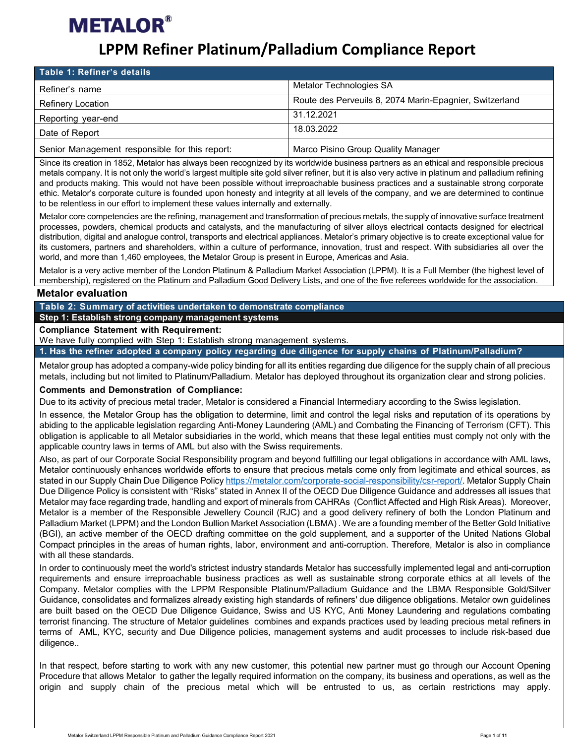### **LPPM Refiner Platinum/Palladium Compliance Report**

| Table 1: Refiner's details                     |                                                         |
|------------------------------------------------|---------------------------------------------------------|
| Refiner's name                                 | Metalor Technologies SA                                 |
| Refinery Location                              | Route des Perveuils 8, 2074 Marin-Epagnier, Switzerland |
| Reporting year-end                             | 31.12.2021                                              |
| Date of Report                                 | 18.03.2022                                              |
| Senior Management responsible for this report: | Marco Pisino Group Quality Manager                      |

Since its creation in 1852, Metalor has always been recognized by its worldwide business partners as an ethical and responsible precious metals company. It is not only the world's largest multiple site gold silver refiner, but it is also very active in platinum and palladium refining and products making. This would not have been possible without irreproachable business practices and a sustainable strong corporate ethic. Metalor's corporate culture is founded upon honesty and integrity at all levels of the company, and we are determined to continue to be relentless in our effort to implement these values internally and externally.

Metalor core competencies are the refining, management and transformation of precious metals, the supply of innovative surface treatment processes, powders, chemical products and catalysts, and the manufacturing of silver alloys electrical contacts designed for electrical distribution, digital and analogue control, transports and electrical appliances. Metalor's primary objective is to create exceptional value for its customers, partners and shareholders, within a culture of performance, innovation, trust and respect. With subsidiaries all over the world, and more than 1,460 employees, the Metalor Group is present in Europe, Americas and Asia.

Metalor is a very active member of the London Platinum & Palladium Market Association (LPPM). It is a Full Member (the highest level of membership), registered on the Platinum and Palladium Good Delivery Lists, and one of the five referees worldwide for the association.

### **Metalor evaluation**

**Table 2: Summary of activities undertaken to demonstrate compliance**

**Step 1: Establish strong company management systems**

#### **Compliance Statement with Requirement:**

We have fully complied with Step 1: Establish strong management systems.

**1. Has the refiner adopted a company policy regarding due diligence for supply chains of Platinum/Palladium?**

Metalor group has adopted a company-wide policy binding for all its entities regarding due diligence for the supply chain of all precious metals, including but not limited to Platinum/Palladium. Metalor has deployed throughout its organization clear and strong policies.

### **Comments and Demonstration of Compliance:**

Due to its activity of precious metal trader, Metalor is considered a Financial Intermediary according to the Swiss legislation.

In essence, the Metalor Group has the obligation to determine, limit and control the legal risks and reputation of its operations by abiding to the applicable legislation regarding Anti-Money Laundering (AML) and Combating the Financing of Terrorism (CFT). This obligation is applicable to all Metalor subsidiaries in the world, which means that these legal entities must comply not only with the applicable country laws in terms of AML but also with the Swiss requirements.

Also, as part of our Corporate Social Responsibility program and beyond fulfilling our legal obligations in accordance with AML laws, Metalor continuously enhances worldwide efforts to ensure that precious metals come only from legitimate and ethical sources, as stated in our Supply Chain Due Diligence Policy [https://metalor.com/corporate-social-responsibility/csr-report/.](https://metalor.com/corporate-social-responsibility/csr-report/) Metalor Supply Chain Due Diligence Policy is consistent with "Risks" stated in Annex II of the OECD Due Diligence Guidance and addresses all issues that Metalor may face regarding trade, handling and export of minerals from CAHRAs (Conflict Affected and High Risk Areas). Moreover, Metalor is a member of the Responsible Jewellery Council (RJC) and a good delivery refinery of both the London Platinum and Palladium Market (LPPM) and the London Bullion Market Association (LBMA) . We are a founding member of the Better Gold Initiative (BGI), an active member of the OECD drafting committee on the gold supplement, and a supporter of the United Nations Global Compact principles in the areas of human rights, labor, environment and anti-corruption. Therefore, Metalor is also in compliance with all these standards.

In order to continuously meet the world's strictest industry standards Metalor has successfully implemented legal and anti-corruption requirements and ensure irreproachable business practices as well as sustainable strong corporate ethics at all levels of the Company. Metalor complies with the LPPM Responsible Platinum/Palladium Guidance and the LBMA Responsible Gold/Silver Guidance, consolidates and formalizes already existing high standards of refiners' due diligence obligations. Metalor own guidelines are built based on the OECD Due Diligence Guidance, Swiss and US KYC, Anti Money Laundering and regulations combating terrorist financing. The structure of Metalor guidelines combines and expands practices used by leading precious metal refiners in terms of AML, KYC, security and Due Diligence policies, management systems and audit processes to include risk-based due diligence..

In that respect, before starting to work with any new customer, this potential new partner must go through our Account Opening Procedure that allows Metalor to gather the legally required information on the company, its business and operations, as well as the origin and supply chain of the precious metal which will be entrusted to us, as certain restrictions may apply.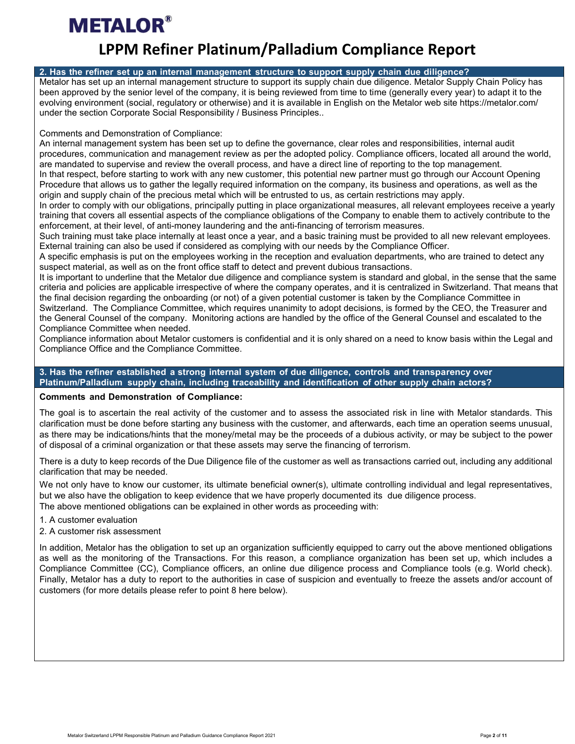### **LPPM Refiner Platinum/Palladium Compliance Report**

### **2. Has the refiner set up an internal management structure to support supply chain due diligence?**

Metalor has set up an internal management structure to support its supply chain due diligence. Metalor Supply Chain Policy has been approved by the senior level of the company, it is being reviewed from time to time (generally every year) to adapt it to the evolving environment (social, regulatory or otherwise) and it is available in English on the Metalor web site https://metalor.com/ under the section Corporate Social Responsibility / Business Principles..

Comments and Demonstration of Compliance:

An internal management system has been set up to define the governance, clear roles and responsibilities, internal audit procedures, communication and management review as per the adopted policy. Compliance officers, located all around the world, are mandated to supervise and review the overall process, and have a direct line of reporting to the top management.

In that respect, before starting to work with any new customer, this potential new partner must go through our Account Opening Procedure that allows us to gather the legally required information on the company, its business and operations, as well as the origin and supply chain of the precious metal which will be entrusted to us, as certain restrictions may apply.

In order to comply with our obligations, principally putting in place organizational measures, all relevant employees receive a yearly training that covers all essential aspects of the compliance obligations of the Company to enable them to actively contribute to the enforcement, at their level, of anti-money laundering and the anti-financing of terrorism measures.

Such training must take place internally at least once a year, and a basic training must be provided to all new relevant employees. External training can also be used if considered as complying with our needs by the Compliance Officer.

A specific emphasis is put on the employees working in the reception and evaluation departments, who are trained to detect any suspect material, as well as on the front office staff to detect and prevent dubious transactions.

It is important to underline that the Metalor due diligence and compliance system is standard and global, in the sense that the same criteria and policies are applicable irrespective of where the company operates, and it is centralized in Switzerland. That means that the final decision regarding the onboarding (or not) of a given potential customer is taken by the Compliance Committee in Switzerland. The Compliance Committee, which requires unanimity to adopt decisions, is formed by the CEO, the Treasurer and the General Counsel of the company. Monitoring actions are handled by the office of the General Counsel and escalated to the Compliance Committee when needed.

Compliance information about Metalor customers is confidential and it is only shared on a need to know basis within the Legal and Compliance Office and the Compliance Committee.

**3. Has the refiner established a strong internal system of due diligence, controls and transparency over Platinum/Palladium supply chain, including traceability and identification of other supply chain actors?**

### **Comments and Demonstration of Compliance:**

The goal is to ascertain the real activity of the customer and to assess the associated risk in line with Metalor standards. This clarification must be done before starting any business with the customer, and afterwards, each time an operation seems unusual, as there may be indications/hints that the money/metal may be the proceeds of a dubious activity, or may be subject to the power of disposal of a criminal organization or that these assets may serve the financing of terrorism.

There is a duty to keep records of the Due Diligence file of the customer as well as transactions carried out, including any additional clarification that may be needed.

We not only have to know our customer, its ultimate beneficial owner(s), ultimate controlling individual and legal representatives, but we also have the obligation to keep evidence that we have properly documented its due diligence process. The above mentioned obligations can be explained in other words as proceeding with:

- 1. A customer evaluation
- 2. A customer risk assessment

In addition, Metalor has the obligation to set up an organization sufficiently equipped to carry out the above mentioned obligations as well as the monitoring of the Transactions. For this reason, a compliance organization has been set up, which includes a Compliance Committee (CC), Compliance officers, an online due diligence process and Compliance tools (e.g. World check). Finally, Metalor has a duty to report to the authorities in case of suspicion and eventually to freeze the assets and/or account of customers (for more details please refer to point 8 here below).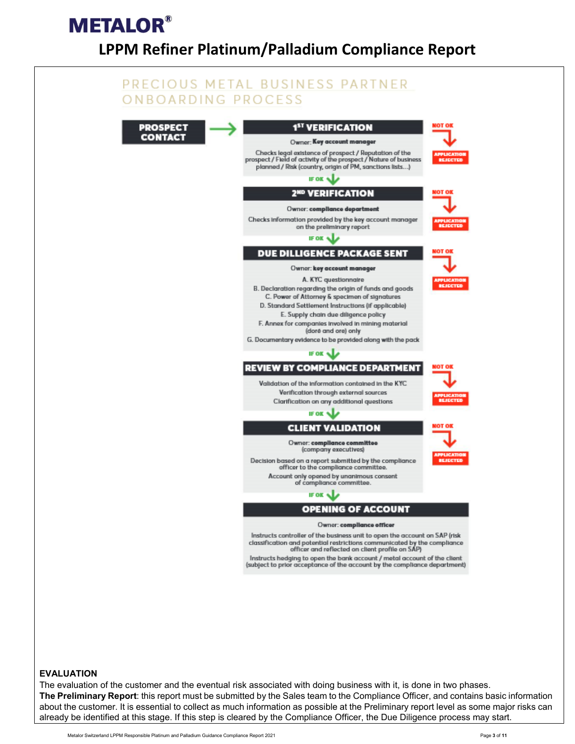## **METALOR® LPPM Refiner Platinum/Palladium Compliance Report**



#### **EVALUATION**

The evaluation of the customer and the eventual risk associated with doing business with it, is done in two phases. **The Preliminary Report**: this report must be submitted by the Sales team to the Compliance Officer, and contains basic information about the customer. It is essential to collect as much information as possible at the Preliminary report level as some major risks can already be identified at this stage. If this step is cleared by the Compliance Officer, the Due Diligence process may start.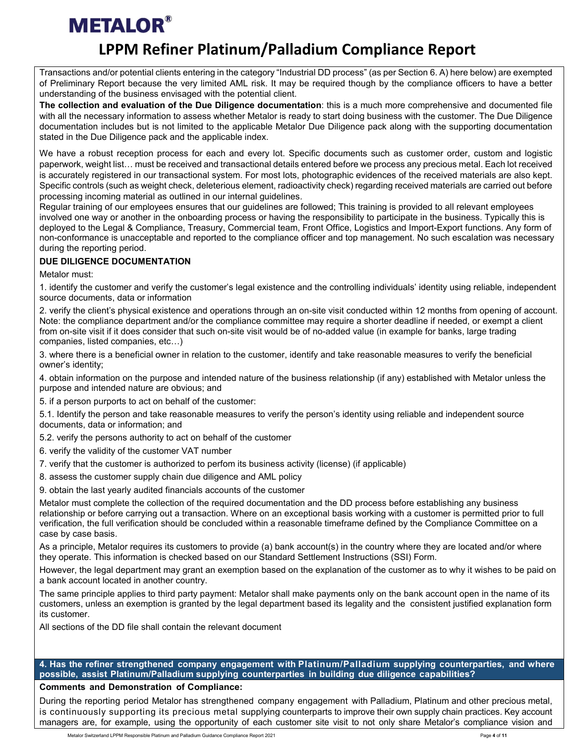### **LPPM Refiner Platinum/Palladium Compliance Report**

Transactions and/or potential clients entering in the category "Industrial DD process" (as per Section 6. A) here below) are exempted of Preliminary Report because the very limited AML risk. It may be required though by the compliance officers to have a better understanding of the business envisaged with the potential client.

**The collection and evaluation of the Due Diligence documentation**: this is a much more comprehensive and documented file with all the necessary information to assess whether Metalor is ready to start doing business with the customer. The Due Diligence documentation includes but is not limited to the applicable Metalor Due Diligence pack along with the supporting documentation stated in the Due Diligence pack and the applicable index.

We have a robust reception process for each and every lot. Specific documents such as customer order, custom and logistic paperwork, weight list… must be received and transactional details entered before we process any precious metal. Each lot received is accurately registered in our transactional system. For most lots, photographic evidences of the received materials are also kept. Specific controls (such as weight check, deleterious element, radioactivity check) regarding received materials are carried out before processing incoming material as outlined in our internal guidelines.

Regular training of our employees ensures that our guidelines are followed; This training is provided to all relevant employees involved one way or another in the onboarding process or having the responsibility to participate in the business. Typically this is deployed to the Legal & Compliance, Treasury, Commercial team, Front Office, Logistics and Import-Export functions. Any form of non-conformance is unacceptable and reported to the compliance officer and top management. No such escalation was necessary during the reporting period.

### **DUE DILIGENCE DOCUMENTATION**

Metalor must:

1. identify the customer and verify the customer's legal existence and the controlling individuals' identity using reliable, independent source documents, data or information

2. verify the client's physical existence and operations through an on-site visit conducted within 12 months from opening of account. Note: the compliance department and/or the compliance committee may require a shorter deadline if needed, or exempt a client from on-site visit if it does consider that such on-site visit would be of no-added value (in example for banks, large trading companies, listed companies, etc…)

3. where there is a beneficial owner in relation to the customer, identify and take reasonable measures to verify the beneficial owner's identity;

4. obtain information on the purpose and intended nature of the business relationship (if any) established with Metalor unless the purpose and intended nature are obvious; and

5. if a person purports to act on behalf of the customer:

5.1. Identify the person and take reasonable measures to verify the person's identity using reliable and independent source documents, data or information; and

- 5.2. verify the persons authority to act on behalf of the customer
- 6. verify the validity of the customer VAT number
- 7. verify that the customer is authorized to perfom its business activity (license) (if applicable)
- 8. assess the customer supply chain due diligence and AML policy
- 9. obtain the last yearly audited financials accounts of the customer

Metalor must complete the collection of the required documentation and the DD process before establishing any business relationship or before carrying out a transaction. Where on an exceptional basis working with a customer is permitted prior to full verification, the full verification should be concluded within a reasonable timeframe defined by the Compliance Committee on a case by case basis.

As a principle, Metalor requires its customers to provide (a) bank account(s) in the country where they are located and/or where they operate. This information is checked based on our Standard Settlement Instructions (SSI) Form.

However, the legal department may grant an exemption based on the explanation of the customer as to why it wishes to be paid on a bank account located in another country.

The same principle applies to third party payment: Metalor shall make payments only on the bank account open in the name of its customers, unless an exemption is granted by the legal department based its legality and the consistent justified explanation form its customer.

All sections of the DD file shall contain the relevant document

**4. Has the refiner strengthened company engagement with Platinum/Palladium supplying counterparties, and where possible, assist Platinum/Palladium supplying counterparties in building due diligence capabilities?**

### **Comments and Demonstration of Compliance:**

During the reporting period Metalor has strengthened company engagement with Palladium, Platinum and other precious metal, is continuously supporting its precious metal supplying counterparts to improve their own supply chain practices. Key account managers are, for example, using the opportunity of each customer site visit to not only share Metalor's compliance vision and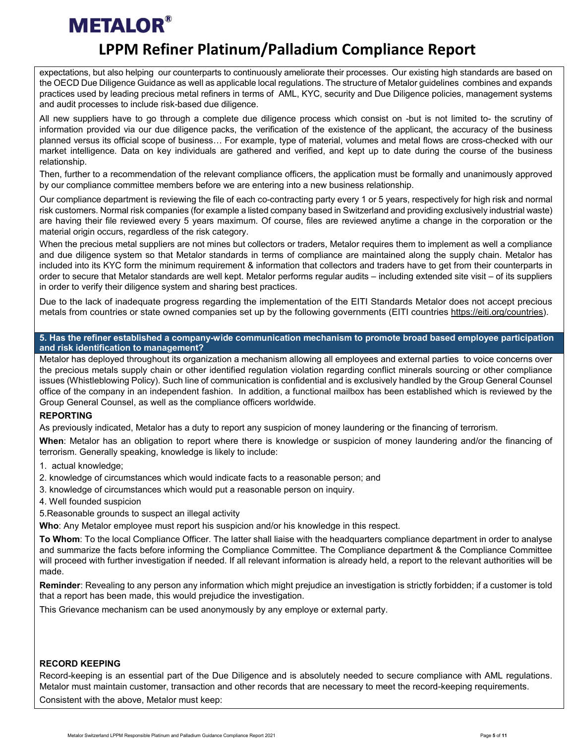### **LPPM Refiner Platinum/Palladium Compliance Report**

expectations, but also helping our counterparts to continuously ameliorate their processes. Our existing high standards are based on the OECD Due Diligence Guidance as well as applicable local regulations. The structure of Metalor guidelines combines and expands practices used by leading precious metal refiners in terms of AML, KYC, security and Due Diligence policies, management systems and audit processes to include risk-based due diligence.

All new suppliers have to go through a complete due diligence process which consist on -but is not limited to- the scrutiny of information provided via our due diligence packs, the verification of the existence of the applicant, the accuracy of the business planned versus its official scope of business… For example, type of material, volumes and metal flows are cross-checked with our market intelligence. Data on key individuals are gathered and verified, and kept up to date during the course of the business relationship.

Then, further to a recommendation of the relevant compliance officers, the application must be formally and unanimously approved by our compliance committee members before we are entering into a new business relationship.

Our compliance department is reviewing the file of each co-contracting party every 1 or 5 years, respectively for high risk and normal risk customers. Normal risk companies (for example a listed company based in Switzerland and providing exclusively industrial waste) are having their file reviewed every 5 years maximum. Of course, files are reviewed anytime a change in the corporation or the material origin occurs, regardless of the risk category.

When the precious metal suppliers are not mines but collectors or traders, Metalor requires them to implement as well a compliance and due diligence system so that Metalor standards in terms of compliance are maintained along the supply chain. Metalor has included into its KYC form the minimum requirement & information that collectors and traders have to get from their counterparts in order to secure that Metalor standards are well kept. Metalor performs regular audits – including extended site visit – of its suppliers in order to verify their diligence system and sharing best practices.

Due to the lack of inadequate progress regarding the implementation of the EITI Standards Metalor does not accept precious metals from countries or state owned companies set up by the following governments (EITI countries [https://eiti.org/countries\)](https://eiti.org/countries).

### **5. Has the refiner established a company-wide communication mechanism to promote broad based employee participation and risk identification to management?**

Metalor has deployed throughout its organization a mechanism allowing all employees and external parties to voice concerns over the precious metals supply chain or other identified regulation violation regarding conflict minerals sourcing or other compliance issues (Whistleblowing Policy). Such line of communication is confidential and is exclusively handled by the Group General Counsel office of the company in an independent fashion. In addition, a functional mailbox has been established which is reviewed by the Group General Counsel, as well as the compliance officers worldwide.

### **REPORTING**

As previously indicated, Metalor has a duty to report any suspicion of money laundering or the financing of terrorism.

**When**: Metalor has an obligation to report where there is knowledge or suspicion of money laundering and/or the financing of terrorism. Generally speaking, knowledge is likely to include:

- 1. actual knowledge;
- 2. knowledge of circumstances which would indicate facts to a reasonable person; and
- 3. knowledge of circumstances which would put a reasonable person on inquiry.
- 4. Well founded suspicion

5.Reasonable grounds to suspect an illegal activity

**Who**: Any Metalor employee must report his suspicion and/or his knowledge in this respect.

**To Whom**: To the local Compliance Officer. The latter shall liaise with the headquarters compliance department in order to analyse and summarize the facts before informing the Compliance Committee. The Compliance department & the Compliance Committee will proceed with further investigation if needed. If all relevant information is already held, a report to the relevant authorities will be made.

**Reminder**: Revealing to any person any information which might prejudice an investigation is strictly forbidden; if a customer is told that a report has been made, this would prejudice the investigation.

This Grievance mechanism can be used anonymously by any employe or external party.

### **RECORD KEEPING**

Record-keeping is an essential part of the Due Diligence and is absolutely needed to secure compliance with AML regulations. Metalor must maintain customer, transaction and other records that are necessary to meet the record-keeping requirements. Consistent with the above, Metalor must keep: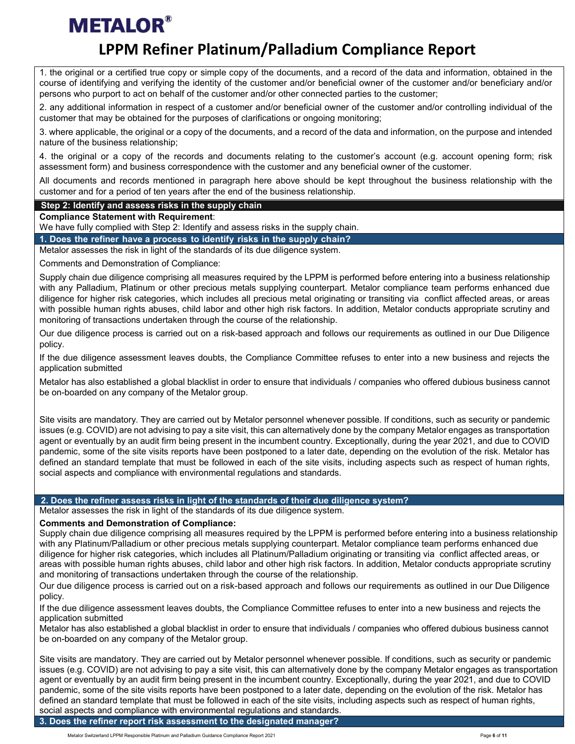### **LPPM Refiner Platinum/Palladium Compliance Report**

1. the original or a certified true copy or simple copy of the documents, and a record of the data and information, obtained in the course of identifying and verifying the identity of the customer and/or beneficial owner of the customer and/or beneficiary and/or persons who purport to act on behalf of the customer and/or other connected parties to the customer;

2. any additional information in respect of a customer and/or beneficial owner of the customer and/or controlling individual of the customer that may be obtained for the purposes of clarifications or ongoing monitoring;

3. where applicable, the original or a copy of the documents, and a record of the data and information, on the purpose and intended nature of the business relationship;

4. the original or a copy of the records and documents relating to the customer's account (e.g. account opening form; risk assessment form) and business correspondence with the customer and any beneficial owner of the customer.

All documents and records mentioned in paragraph here above should be kept throughout the business relationship with the customer and for a period of ten years after the end of the business relationship.

### **Step 2: Identify and assess risks in the supply chain**

**Compliance Statement with Requirement**:

We have fully complied with Step 2: Identify and assess risks in the supply chain.

**1. Does the refiner have a process to identify risks in the supply chain?**

Metalor assesses the risk in light of the standards of its due diligence system.

Comments and Demonstration of Compliance:

Supply chain due diligence comprising all measures required by the LPPM is performed before entering into a business relationship with any Palladium, Platinum or other precious metals supplying counterpart. Metalor compliance team performs enhanced due diligence for higher risk categories, which includes all precious metal originating or transiting via conflict affected areas, or areas with possible human rights abuses, child labor and other high risk factors. In addition, Metalor conducts appropriate scrutiny and monitoring of transactions undertaken through the course of the relationship.

Our due diligence process is carried out on a risk-based approach and follows our requirements as outlined in our Due Diligence policy.

If the due diligence assessment leaves doubts, the Compliance Committee refuses to enter into a new business and rejects the application submitted

Metalor has also established a global blacklist in order to ensure that individuals / companies who offered dubious business cannot be on-boarded on any company of the Metalor group.

Site visits are mandatory. They are carried out by Metalor personnel whenever possible. If conditions, such as security or pandemic issues (e.g. COVID) are not advising to pay a site visit, this can alternatively done by the company Metalor engages as transportation agent or eventually by an audit firm being present in the incumbent country. Exceptionally, during the year 2021, and due to COVID pandemic, some of the site visits reports have been postponed to a later date, depending on the evolution of the risk. Metalor has defined an standard template that must be followed in each of the site visits, including aspects such as respect of human rights, social aspects and compliance with environmental regulations and standards.

### **2. Does the refiner assess risks in light of the standards of their due diligence system?**

Metalor assesses the risk in light of the standards of its due diligence system.

### **Comments and Demonstration of Compliance:**

Supply chain due diligence comprising all measures required by the LPPM is performed before entering into a business relationship with any Platinum/Palladium or other precious metals supplying counterpart. Metalor compliance team performs enhanced due diligence for higher risk categories, which includes all Platinum/Palladium originating or transiting via conflict affected areas, or areas with possible human rights abuses, child labor and other high risk factors. In addition, Metalor conducts appropriate scrutiny and monitoring of transactions undertaken through the course of the relationship.

Our due diligence process is carried out on a risk-based approach and follows our requirements as outlined in our Due Diligence policy.

If the due diligence assessment leaves doubts, the Compliance Committee refuses to enter into a new business and rejects the application submitted

Metalor has also established a global blacklist in order to ensure that individuals / companies who offered dubious business cannot be on-boarded on any company of the Metalor group.

Site visits are mandatory. They are carried out by Metalor personnel whenever possible. If conditions, such as security or pandemic issues (e.g. COVID) are not advising to pay a site visit, this can alternatively done by the company Metalor engages as transportation agent or eventually by an audit firm being present in the incumbent country. Exceptionally, during the year 2021, and due to COVID pandemic, some of the site visits reports have been postponed to a later date, depending on the evolution of the risk. Metalor has defined an standard template that must be followed in each of the site visits, including aspects such as respect of human rights, social aspects and compliance with environmental regulations and standards.

**3. Does the refiner report risk assessment to the designated manager?**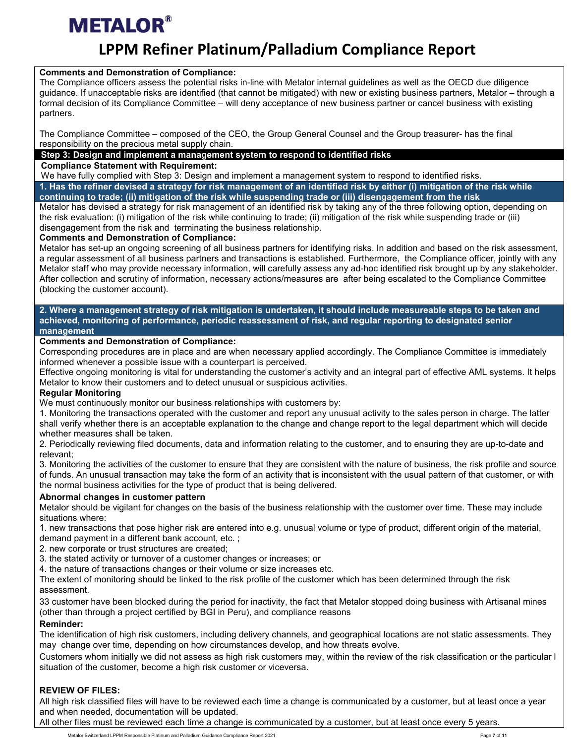### **LPPM Refiner Platinum/Palladium Compliance Report**

### **Comments and Demonstration of Compliance:**

The Compliance officers assess the potential risks in-line with Metalor internal guidelines as well as the OECD due diligence guidance. If unacceptable risks are identified (that cannot be mitigated) with new or existing business partners, Metalor – through a formal decision of its Compliance Committee – will deny acceptance of new business partner or cancel business with existing partners.

The Compliance Committee – composed of the CEO, the Group General Counsel and the Group treasurer- has the final responsibility on the precious metal supply chain.

### **Step 3: Design and implement a management system to respond to identified risks**

**Compliance Statement with Requirement:**

We have fully complied with Step 3: Design and implement a management system to respond to identified risks. **1. Has the refiner devised a strategy for risk management of an identified risk by either (i) mitigation of the risk while continuing to trade; (ii) mitigation of the risk while suspending trade or (iii) disengagement from the risk**

Metalor has devised a strategy for risk management of an identified risk by taking any of the three following option, depending on the risk evaluation: (i) mitigation of the risk while continuing to trade; (ii) mitigation of the risk while suspending trade or (iii) disengagement from the risk and terminating the business relationship.

### **Comments and Demonstration of Compliance:**

Metalor has set-up an ongoing screening of all business partners for identifying risks. In addition and based on the risk assessment, a regular assessment of all business partners and transactions is established. Furthermore, the Compliance officer, jointly with any Metalor staff who may provide necessary information, will carefully assess any ad-hoc identified risk brought up by any stakeholder. After collection and scrutiny of information, necessary actions/measures are after being escalated to the Compliance Committee (blocking the customer account).

#### **2. Where a management strategy of risk mitigation is undertaken, it should include measureable steps to be taken and achieved, monitoring of performance, periodic reassessment of risk, and regular reporting to designated senior management**

### **Comments and Demonstration of Compliance:**

Corresponding procedures are in place and are when necessary applied accordingly. The Compliance Committee is immediately informed whenever a possible issue with a counterpart is perceived.

Effective ongoing monitoring is vital for understanding the customer's activity and an integral part of effective AML systems. It helps Metalor to know their customers and to detect unusual or suspicious activities.

### **Regular Monitoring**

We must continuously monitor our business relationships with customers by:

1. Monitoring the transactions operated with the customer and report any unusual activity to the sales person in charge. The latter shall verify whether there is an acceptable explanation to the change and change report to the legal department which will decide whether measures shall be taken.

2. Periodically reviewing filed documents, data and information relating to the customer, and to ensuring they are up-to-date and relevant;

3. Monitoring the activities of the customer to ensure that they are consistent with the nature of business, the risk profile and source of funds. An unusual transaction may take the form of an activity that is inconsistent with the usual pattern of that customer, or with the normal business activities for the type of product that is being delivered.

### **Abnormal changes in customer pattern**

Metalor should be vigilant for changes on the basis of the business relationship with the customer over time. These may include situations where:

1. new transactions that pose higher risk are entered into e.g. unusual volume or type of product, different origin of the material, demand payment in a different bank account, etc. ;

- 2. new corporate or trust structures are created;
- 3. the stated activity or turnover of a customer changes or increases; or
- 4. the nature of transactions changes or their volume or size increases etc.

The extent of monitoring should be linked to the risk profile of the customer which has been determined through the risk assessment.

33 customer have been blocked during the period for inactivity, the fact that Metalor stopped doing business with Artisanal mines (other than through a project certified by BGI in Peru), and compliance reasons

### **Reminder:**

The identification of high risk customers, including delivery channels, and geographical locations are not static assessments. They may change over time, depending on how circumstances develop, and how threats evolve.

Customers whom initially we did not assess as high risk customers may, within the review of the risk classification or the particular l situation of the customer, become a high risk customer or viceversa.

### **REVIEW OF FILES:**

All high risk classified files will have to be reviewed each time a change is communicated by a customer, but at least once a year and when needed, documentation will be updated.

All other files must be reviewed each time a change is communicated by a customer, but at least once every 5 years.